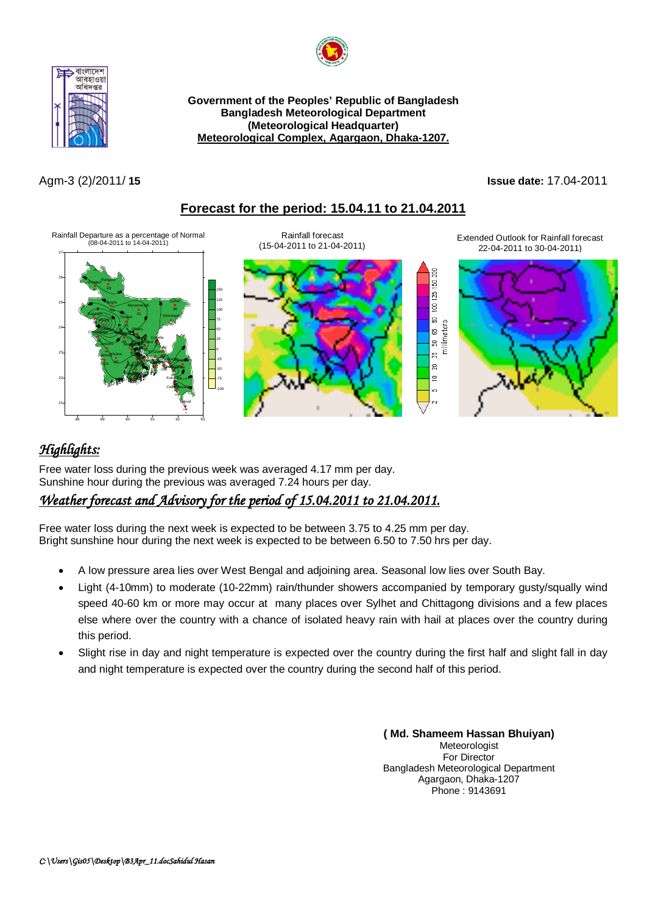



**Government of the Peoples' Republic of Bangladesh Bangladesh Meteorological Department (Meteorological Headquarter) Meteorological Complex, Agargaon, Dhaka-1207.**

#### Agm-3 (2)/2011/ **15 Issue date:** 17.04-2011

## **Forecast for the period: 15.04.11 to 21.04.2011**



# *Highlights:*

Free water loss during the previous week was averaged 4.17 mm per day. Sunshine hour during the previous was averaged 7.24 hours per day.

## *Weather forecast and Advisory for the period of 15.04.2011 to 21.04.2011.*

Free water loss during the next week is expected to be between 3.75 to 4.25 mm per day. Bright sunshine hour during the next week is expected to be between 6.50 to 7.50 hrs per day.

- A low pressure area lies over West Bengal and adjoining area. Seasonal low lies over South Bay.
- Light (4-10mm) to moderate (10-22mm) rain/thunder showers accompanied by temporary gusty/squally wind speed 40-60 km or more may occur at many places over Sylhet and Chittagong divisions and a few places else where over the country with a chance of isolated heavy rain with hail at places over the country during this period.
- Slight rise in day and night temperature is expected over the country during the first half and slight fall in day and night temperature is expected over the country during the second half of this period.

**( Md. Shameem Hassan Bhuiyan)** Meteorologist For Director Bangladesh Meteorological Department Agargaon, Dhaka-1207 Phone : 9143691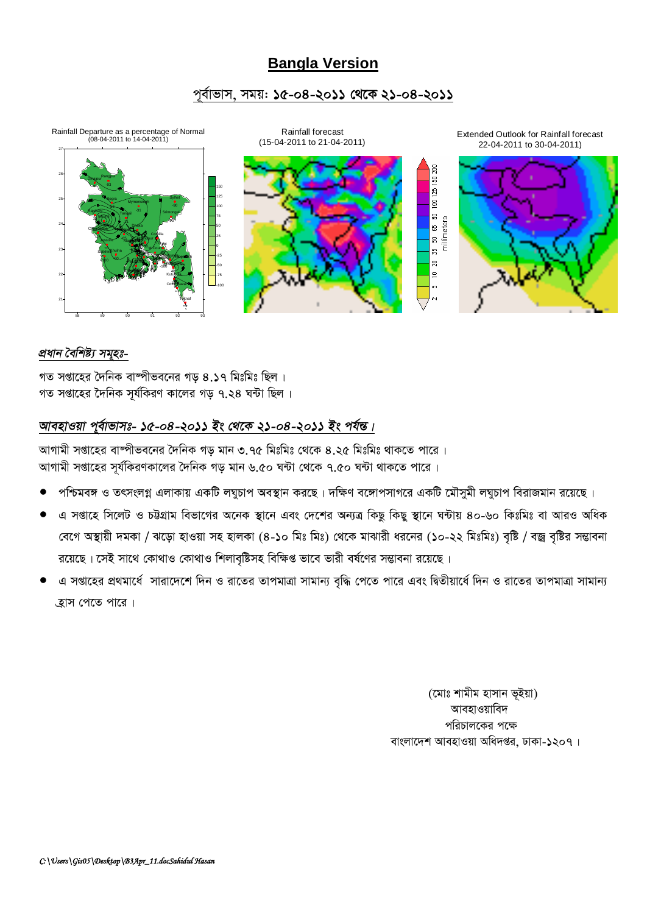# **Bangla Version**

## পূৰ্বাভাস, সময়: **১৫-০৪-২০১১ থেকে ২১-০৪-২০১১**



### *প্ৰধান বৈশিষ্ট্য সম্হঃ-*

গত সপ্তাহের দৈনিক বাম্পীভবনের গড় ৪.১৭ মিঃমিঃ ছিল। গত সপ্তাহের দৈনিক সূর্যকিরণ কালের গড় ৭.২৪ ঘন্টা ছিল।

# *আবহাওয়া প্*ৰ্বাভাসঃ- ১৫-০৪-২০১১ ইং থেকে ২১-০৪-২০১১ ইং পৰ্যন্ত।

আগামী সপ্তাহের বাষ্পীভবনের দৈনিক গড মান ৩.৭৫ মিঃমিঃ থেকে ৪.২৫ মিঃমিঃ থাকতে পারে । আগামী সপ্তাহের সূর্যকিরণকালের দৈনিক গড় মান ৬.৫০ ঘন্টা থেকে ৭.৫০ ঘন্টা থাকতে পারে।

- পশ্চিমবঙ্গ ও তৎসংলগ্ন এলাকায় একটি লঘুচাপ অবস্থান করছে। দক্ষিণ বঙ্গোপসাগরে একটি মৌসুমী লঘুচাপ বিরাজমান রয়েছে।
- এ সপ্তাহে সিলেট ও চউগ্রাম বিভাগের অনেক স্থানে এবং দেশের অন্যত্র কিছু কিছু স্থানে ঘন্টায় ৪০-৬০ কিঃমিঃ বা আরও অধিক বেগে অস্থায়ী দমকা / ঝড়ো হাওয়া সহ হালকা (৪-১০ মিঃ মিঃ) থেকে মাঝারী ধরনের (১০-২২ মিঃমিঃ) বৃষ্টি / বজ্র বৃষ্টির সম্ভাবনা রয়েছে। সেই সাথে কোথাও কোথাও শিলাবৃষ্টিসহ বিক্ষিপ্ত ভাবে ভারী বর্ষণের সম্ভাবনা রয়েছে।
- এ সপ্তাহের প্রথমার্ধে সারাদেশে দিন ও রাতের তাপমাত্রা সামান্য বৃদ্ধি পেতে পারে এবং দ্বিতীয়ার্ধে দিন ও রাতের তাপমাত্রা সামান্য ্রুাস পেতে পারে।

(মোঃ শামীম হাসান ভূইয়া) আবহাওয়াবিদ পরিচালকের পক্ষে বাংলাদেশ আবহাওয়া অধিদপ্তর, ঢাকা-১২০৭।